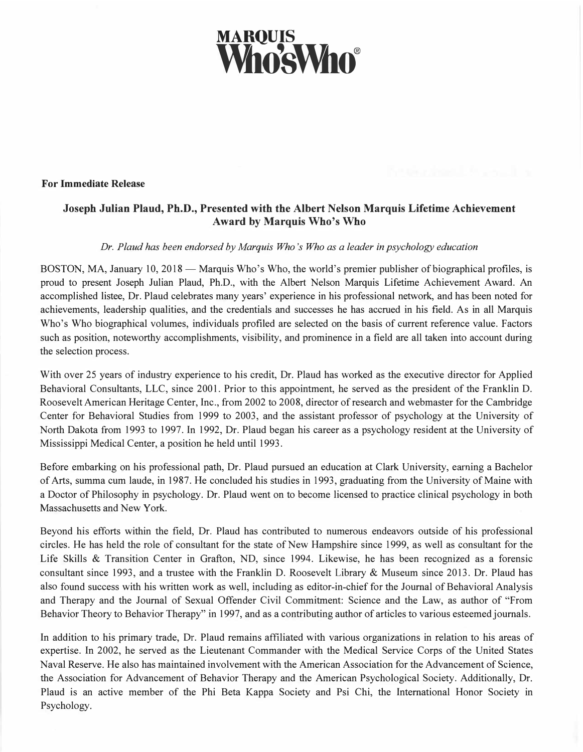

## **For Immediate Release**

## **Joseph Julian Plaud, Ph.D., Presented with the Albert Nelson Marquis Lifetime Achievement Award by Marquis Who's Who**

## *Dr. Plaud has been endorsed by Marquis Who's Who as a leader in psychology education*

BOSTON, MA, January 10, 2018 — Marquis Who's Who, the world's premier publisher of biographical profiles, is proud to present Joseph Julian Plaud, Ph.D., with the Albert Nelson Marquis Lifetime Achievement Award. An accomplished listee, Dr. Plaud celebrates many years' experience in his professional network, and has been noted for achievements, leadership qualities, and the credentials and successes he has accrued in his field. As in all Marquis Who's Who biographical volumes, individuals profiled are selected on the basis of current reference value. Factors such as position, noteworthy accomplishments, visibility, and prominence in a field are all taken into account during the selection process.

With over 25 years of industry experience to his credit, Dr. Plaud has worked as the executive director for Applied Behavioral Consultants, LLC, since 2001. Prior to this appointment, he served as the president of the Franklin D. Roosevelt American Heritage Center, Inc., from 2002 to 2008, director of research and webmaster for the Cambridge Center for Behavioral Studies from 1999 to 2003, and the assistant professor of psychology at the University of North Dakota from 1993 to 1997. In 1992, Dr. Plaud began his career as a psychology resident at the University of Mississippi Medical Center, a position he held until 1993.

Before embarking on his professional path, Dr. Plaud pursued an education at Clark University, earning a Bachelor of Arts, summa cum laude, in 1987. He concluded his studies in 1993, graduating from the University of Maine with a Doctor of Philosophy in psychology. Dr. Plaud went on to become licensed to practice clinical psychology in both Massachusetts and New York.

Beyond his efforts within the field, Dr. Plaud has contributed to numerous endeavors outside of his professional circles. He has held the role of consultant for the state of New Hampshire since 1999, as well as consultant for the Life Skills & Transition Center in Grafton, ND, since 1994. Likewise, he has been recognized as a forensic consultant since 1993, and a trustee with the Franklin D. Roosevelt Library & Museum since 2013. Dr. Plaud has also found success with his written work as well, including as editor-in-chief for the Journal of Behavioral Analysis and Therapy and the Journal of Sexual Offender Civil Commitment: Science and the Law, as author of "From Behavior Theory to Behavior Therapy" in 1997, and as a contributing author of articles to various esteemed journals.

In addition to his primary trade, Dr. Plaud remains affiliated with various organizations in relation to his areas of expertise. In 2002, he served as the Lieutenant Commander with the Medical Service Corps of the United States Naval Reserve. He also has maintained involvement with the American Association for the Advancement of Science, the Association for Advancement of Behavior Therapy and the American Psychological Society. Additionally, Dr. Plaud is an active member of the Phi Beta Kappa Society and Psi Chi, the International Honor Society in Psychology.